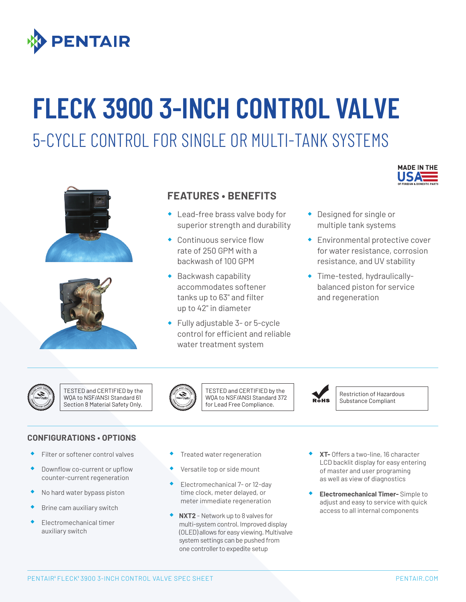

# **FLECK 3900 3-INCH CONTROL VALVE**

## 5-CYCLE CONTROL FOR SINGLE OR MULTI-TANK SYSTEMS





### **FEATURES • BENEFITS**

- ® Lead-free brass valve body for superior strength and durability
- ® Continuous service flow rate of 250 GPM with a backwash of 100 GPM
- ® Backwash capability accommodates softener tanks up to 63" and filter up to 42" in diameter
- ® Fully adjustable 3- or 5-cycle control for efficient and reliable water treatment system



- ® Designed for single or multiple tank systems
- ® Environmental protective cover for water resistance, corrosion resistance, and UV stability
- ® Time-tested, hydraulicallybalanced piston for service and regeneration



TESTED and CERTIFIED by the WQA to NSF/ANSI Standard 61 Section 8 Material Safety Only.



TESTED and CERTIFIED by the WQA to NSF/ANSI Standard 372 for Lead Free Compliance.



Restriction of Hazardous Substance Compliant

#### **CONFIGURATIONS • OPTIONS**

- ® Filter or softener control valves
- Downflow co-current or upflow counter-current regeneration
- No hard water bypass piston
- Brine cam auxiliary switch
- Electromechanical timer auxiliary switch
- Treated water regeneration
- Versatile top or side mount
- Electromechanical 7- or 12-day time clock, meter delayed, or meter immediate regeneration
- ® **NXT2**  Network up to 8 valves for multi-system control. Improved display (OLED) allows for easy viewing. Multivalve system settings can be pushed from one controller to expedite setup
- ® **XT-** Offers a two-line, 16 character LCD backlit display for easy entering of master and user programing as well as view of diagnostics
- ® **Electromechanical Timer-** Simple to adjust and easy to service with quick access to all internal components